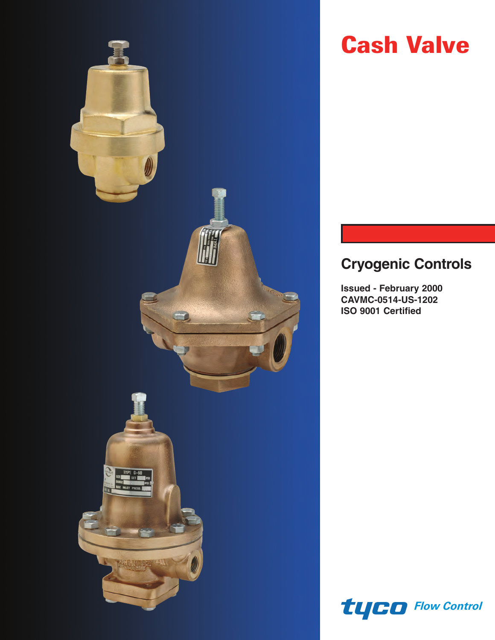

# **Cash Valve**

# **Cryogenic Controls**

**Issued - February 2000 CAVMC-0514-US-1202 ISO 9001 Certified**

*Flow Control*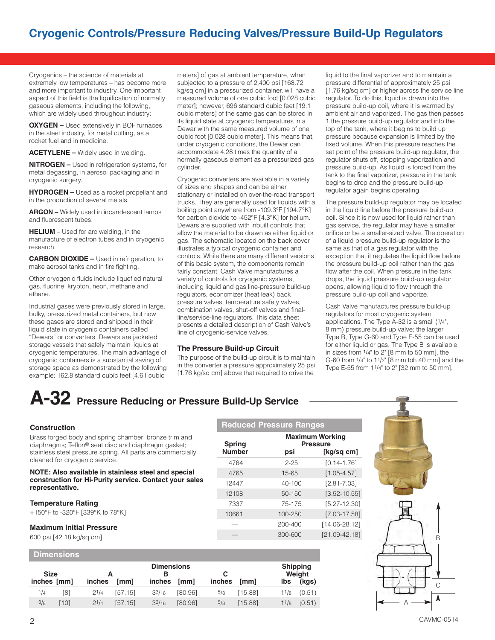Cryogenics – the science of materials at extremely low temperatures – has become more and more important to industry. One important aspect of this field is the liquification of normally gaseous elements, including the following, which are widely used throughout industry:

**OXYGEN –** Used extensively in BOF furnaces in the steel industry, for metal cutting, as a rocket fuel and in medicine.

**ACETYLENE –** Widely used in welding.

**NITROGEN –** Used in refrigeration systems, for metal degassing, in aerosol packaging and in cryogenic surgery.

**HYDROGEN –** Used as a rocket propellant and in the production of several metals.

**ARGON –** Widely used in incandescent lamps and fluorescent tubes.

**HELIUM** – Used for arc welding, in the manufacture of electron tubes and in cryogenic research.

**CARBON DIOXIDE –** Used in refrigeration, to make aerosol tanks and in fire fighting.

Other cryogenic fluids include liquefied natural gas, fluorine, krypton, neon, methane and ethane.

Industrial gases were previously stored in large, bulky, pressurized metal containers, but now these gases are stored and shipped in their liquid state in cryogenic containers called "Dewars" or converters. Dewars are jacketed storage vessels that safely maintain liquids at cryogenic temperatures. The main advantage of cryogenic containers is a substantial saving of storage space as demonstrated by the following example: 162.8 standard cubic feet [4.61 cubic

meters] of gas at ambient temperature, when subjected to a pressure of 2,400 psi [168.72 kg/sq cm] in a pressurized container, will have a measured volume of one cubic foot [0.028 cubic meter]; however, 696 standard cubic feet [19.1 cubic meters] of the same gas can be stored in its liquid state at cryogenic temperatures in a Dewar with the same measured volume of one cubic foot [0.028 cubic meter]. This means that, under cryogenic conditions, the Dewar can accommodate 4.28 times the quantity of a normally gaseous element as a pressurized gas cylinder.

Cryogenic converters are available in a variety of sizes and shapes and can be either stationary or installed on over-the-road transport trucks. They are generally used for liquids with a boiling point anywhere from -109.3°F [194.7°K] for carbon dioxide to -452°F [4.3°K] for helium. Dewars are supplied with inbuilt controls that allow the material to be drawn as either liquid or gas. The schematic located on the back cover illustrates a typical cryogenic container and controls. While there are many different versions of this basic system, the components remain fairly constant. Cash Valve manufactures a variety of controls for cryogenic systems, including liquid and gas line-pressure build-up regulators, economizer (heat leak) back pressure valves, temperature safety valves, combination valves, shut-off valves and finalline/service-line regulators. This data sheet presents a detailed description of Cash Valve's line of cryogenic-service valves.

# **The Pressure Build-up Circuit**

The purpose of the build-up circuit is to maintain in the converter a pressure approximately 25 psi [1.76 kg/sq cm] above that required to drive the

**Reduced Pressure Ranges**

**Spring Pressure**

4764 2-25 [0.14-1.76]

12447 40-100 [2.81-7.03]

**Maximum Working** 

liquid to the final vaporizer and to maintain a pressure differential of approximately 25 psi [1.76 kg/sq cm] or higher across the service line regulator. To do this, liquid is drawn into the pressure build-up coil, where it is warmed by ambient air and vaporized. The gas then passes 1 the pressure build-up regulator and into the top of the tank, where it begins to build up pressure because expansion is limited by the fixed volume. When this pressure reaches the set point of the pressure build-up regulator, the regulator shuts off, stopping vaporization and pressure build-up. As liquid is forced from the tank to the final vaporizer, pressure in the tank begins to drop and the pressure build-up regulator again begins operating.

The pressure build-up regulator may be located in the liquid line before the pressure build-up coil. Since it is now used for liquid rather than gas service, the regulator may have a smaller orifice or be a smaller-sized valve. The operation of a liquid pressure build-up regulator is the same as that of a gas regulator with the exception that it regulates the liquid flow before the pressure build-up coil rather than the gas flow after the coil. When pressure in the tank drops, the liquid pressure build-up regulator opens, allowing liquid to flow through the pressure build-up coil and vaporize.

Cash Valve manufactures pressure build-up regulators for most cryogenic system applications. The Type A-32 is a small (1/4", 8 mm) pressure build-up valve; the larger Type B, Type G-60 and Type E-55 can be used for either liquid or gas. The Type B is available in sizes from 1/4" to 2" [8 mm to 50 mm], the G-60 from 1/4" to 11/2" [8 mm toh 40 mm] and the Type E-55 from 11/4" to 2" [32 mm to 50 mm].

# A-32 Pressure Reducing or Pressure Build-Up Service

#### **Construction**

Brass forged body and spring chamber; bronze trim and diaphragms; Teflon® seat disc and diaphragm gasket; stainless steel pressure spring. All parts are commercially cleaned for cryogenic service.

### **NOTE: Also available in stainless steel and special construction for Hi-Purity service. Contact your sales representative.**

#### **Temperature Rating**

+150°F to -320°F [339°K to 78°K]

## **Maximum Initial Pressure**

600 psi [42.18 kg/sq cm]

# **Dimensions**

| <b>Size</b><br>inches [mm] |     | inches    |                 | <b>Dimensions</b><br>inches |                 | <i>inches</i> | [mm]    | lbs  | <b>Shipping</b><br>Weight |
|----------------------------|-----|-----------|-----------------|-----------------------------|-----------------|---------------|---------|------|---------------------------|
| 1/4                        | [8] | $2^{1/4}$ | [mm]<br>[57.15] | 33/16                       | [mm]<br>[80.96] | 5/8           | [15.88] | 11/8 | (kgs)<br>(0.51)           |
| 3/8                        | 101 | $2^{1/4}$ | [57.15]         | $3^{3/16}$                  | [80.96]         | 5/8           | [15.88] | 11/8 | (0.51)                    |

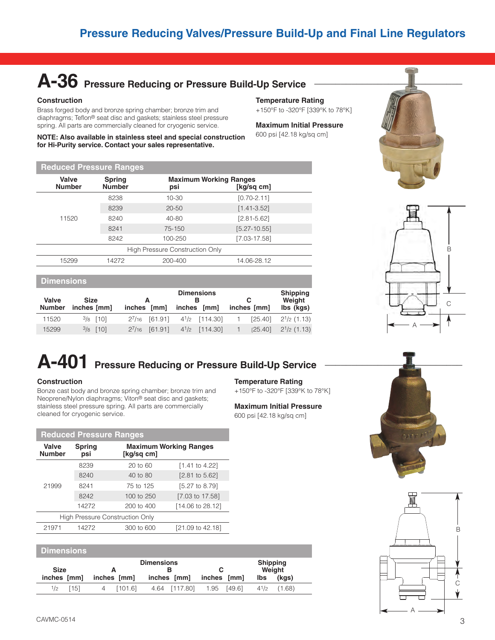# A-36 Pressure Reducing or Pressure Build-Up Service

# **Construction**

**Reduced Pressure Ranges**

Brass forged body and bronze spring chamber; bronze trim and diaphragms; Teflon® seat disc and gaskets; stainless steel pressure spring. All parts are commercially cleaned for cryogenic service.

**NOTE: Also available in stainless steel and special construction for Hi-Purity service. Contact your sales representative.**

# **Temperature Rating**

+150°F to -320°F [339°K to 78°K]

# **Maximum Initial Pressure**

600 psi [42.18 kg/sq cm]





|  | <b>NGUULGU FIGSSUIG NAHYGS</b>         |                                |           |                                             |  |  |  |  |  |
|--|----------------------------------------|--------------------------------|-----------|---------------------------------------------|--|--|--|--|--|
|  | Valve<br><b>Number</b>                 | <b>Spring</b><br><b>Number</b> | psi       | <b>Maximum Working Ranges</b><br>[kq/sq cm] |  |  |  |  |  |
|  | 11520                                  | 8238                           | 10-30     | $[0.70 - 2.11]$                             |  |  |  |  |  |
|  |                                        | 8239                           | $20 - 50$ | $[1.41 - 3.52]$                             |  |  |  |  |  |
|  |                                        | 8240                           | 40-80     | $[2.81 - 5.62]$                             |  |  |  |  |  |
|  |                                        | 8241                           | 75-150    | $[5.27 - 10.55]$                            |  |  |  |  |  |
|  |                                        | 8242                           | 100-250   | $[7.03 - 17.58]$                            |  |  |  |  |  |
|  | <b>High Pressure Construction Only</b> |                                |           |                                             |  |  |  |  |  |
|  | 15299                                  | 14272                          | 200-400   | 14.06-28.12                                 |  |  |  |  |  |
|  |                                        |                                |           |                                             |  |  |  |  |  |

# **Dimensions**

| Valve<br><b>Number</b> | <b>Size</b><br>inches [mm] | A<br>inches [mm] | <b>Dimensions</b><br>inches [mm]       |    | С<br>inches [mm] | <b>Shipping</b><br>Weight<br>lbs (kgs) |
|------------------------|----------------------------|------------------|----------------------------------------|----|------------------|----------------------------------------|
| 11520                  | $3/8$ [10]                 | $2^7/16$ [61.91] | 4 <sup>1</sup> /2 [114.30]             | 1. |                  | $[25.40]$ $2^{1/2}$ (1.13)             |
| 15299                  | $3/8$ [10]                 | $2^7/16$ [61.91] | 4 <sup>1</sup> / <sub>2</sub> [114.30] |    | [25.40]          | $2^{1/2}$ (1.13)                       |

# A-401 Pressure Reducing or Pressure Build-Up Service

# **Construction**

Bonze cast body and bronze spring chamber; bronze trim and Neoprene/Nylon diaphragms; Viton® seat disc and gaskets; stainless steel pressure spring. All parts are commercially cleaned for cryogenic service.

# **Temperature Rating**

+150°F to -320°F [339°K to 78°K]

# **Maximum Initial Pressure**

600 psi [42.18 kg/sq cm]





|                                        |               | <b>Reduced Pressure Ranges</b> |                               |  |  |
|----------------------------------------|---------------|--------------------------------|-------------------------------|--|--|
| Valve<br><b>Number</b>                 | Spring<br>psi | [kg/sq cm]                     | <b>Maximum Working Ranges</b> |  |  |
|                                        | 8239          | $20$ to $60$                   | $[1.41$ to 4.22]              |  |  |
| 21999                                  | 8240          | 40 to 80                       | $[2.81 \text{ to } 5.62]$     |  |  |
|                                        | 8241          | 75 to 125                      | [5.27 to 8.79]                |  |  |
|                                        | 8242          | 100 to 250                     | $[7.03 \text{ to } 17.58]$    |  |  |
|                                        | 14272         | 200 to 400                     | [14.06 to 28.12]              |  |  |
| <b>High Pressure Construction Only</b> |               |                                |                               |  |  |
| 21971                                  | 14272         | 300 to 600                     | [21.09 to 42.18]              |  |  |

# **Dimensions**

| <b>Shipping</b><br><b>Dimensions</b> |      |   |             |  |               |             |             |      |        |
|--------------------------------------|------|---|-------------|--|---------------|-------------|-------------|------|--------|
| <b>Size</b>                          |      |   |             |  |               |             |             |      | Weight |
| inches [mm]                          |      |   | inches [mm] |  | inches [mm]   | inches [mm] |             | lbs  | (kgs)  |
| 1/2                                  | [15] | 4 | [101.6]     |  | 4.64 [117.80] |             | 1.95 [49.6] | 41/2 | (1.68) |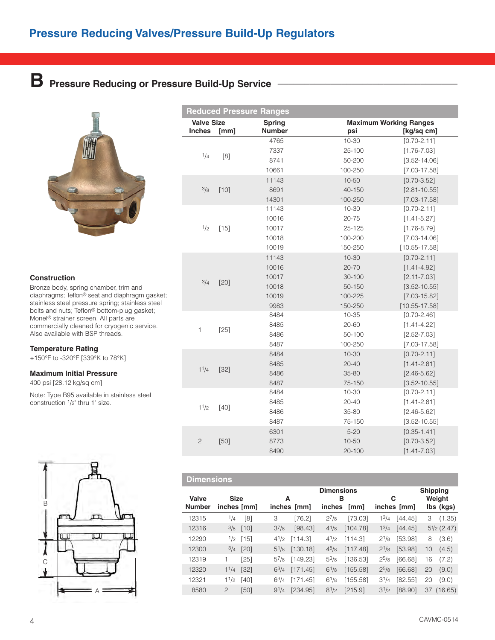# **B** Pressure Reducing or Pressure Build-Up Service



# **Construction**

Bronze body, spring chamber, trim and diaphragms; Teflon® seat and diaphragm gasket; stainless steel pressure spring; stainless steel bolts and nuts; Teflon® bottom-plug gasket; Monel® strainer screen. All parts are commercially cleaned for cryogenic service. Also available with BSP threads.

## **Temperature Rating**

+150°F to -320°F [339°K to 78°K]

# **Maximum Initial Pressure**

400 psi [28.12 kg/sq cm]

Note: Type B95 available in stainless steel construction 1/2" thru 1" size.



|                   |        | <b>Reduced Pressure Ranges</b> |            |                               |
|-------------------|--------|--------------------------------|------------|-------------------------------|
| <b>Valve Size</b> |        | <b>Spring</b>                  |            | <b>Maximum Working Ranges</b> |
| <b>Inches</b>     | [mm]   | <b>Number</b>                  | psi        | [kg/sq cm]                    |
|                   |        | 4765                           | $10 - 30$  | $[0.70 - 2.11]$               |
| 1/4               | [8]    | 7337                           | 25-100     | $[1.76 - 7.03]$               |
|                   |        | 8741                           | 50-200     | $[3.52 - 14.06]$              |
|                   |        | 10661                          | 100-250    | $[7.03 - 17.58]$              |
|                   |        | 11143                          | 10-50      | $[0.70 - 3.52]$               |
| 3/8               | $[10]$ | 8691                           | 40-150     | $[2.81 - 10.55]$              |
|                   |        | 14301                          | 100-250    | $[7.03 - 17.58]$              |
|                   |        | 11143                          | $10 - 30$  | $[0.70 - 2.11]$               |
|                   |        | 10016                          | $20 - 75$  | $[1.41 - 5.27]$               |
| 1/2               | $[15]$ | 10017                          | $25 - 125$ | $[1.76 - 8.79]$               |
|                   |        | 10018                          | 100-200    | $[7.03 - 14.06]$              |
|                   |        | 10019                          | 150-250    | $[10.55 - 17.58]$             |
|                   |        | 11143                          | $10 - 30$  | $[0.70 - 2.11]$               |
|                   |        | 10016                          | $20 - 70$  | $[1.41 - 4.92]$               |
| 3/4               | [20]   | 10017                          | 30-100     | $[2.11 - 7.03]$               |
|                   |        | 10018                          | 50-150     | $[3.52 - 10.55]$              |
|                   |        | 10019                          | 100-225    | $[7.03 - 15.82]$              |
|                   |        | 9983                           | 150-250    | $[10.55 - 17.58]$             |
|                   |        | 8484                           | $10 - 35$  | $[0.70 - 2.46]$               |
| 1                 | $[25]$ | 8485                           | $20 - 60$  | $[1.41 - 4.22]$               |
|                   |        | 8486                           | 50-100     | $[2.52 - 7.03]$               |
|                   |        | 8487                           | 100-250    | $[7.03 - 17.58]$              |
|                   |        | 8484                           | $10 - 30$  | $[0.70 - 2.11]$               |
| 11/4              |        | 8485                           | $20 - 40$  | $[1.41 - 2.81]$               |
|                   | $[32]$ | 8486                           | 35-80      | $[2.46 - 5.62]$               |
|                   |        | 8487                           | 75-150     | $[3.52 - 10.55]$              |
|                   |        | 8484                           | $10 - 30$  | $[0.70 - 2.11]$               |
| 1 <sup>1</sup> /2 | $[40]$ | 8485                           | $20 - 40$  | $[1.41 - 2.81]$               |
|                   |        | 8486                           | 35-80      | $[2.46 - 5.62]$               |
|                   |        | 8487                           | 75-150     | $[3.52 - 10.55]$              |
|                   |        | 6301                           | $5 - 20$   | $[0.35 - 1.41]$               |
| $\overline{c}$    | $[50]$ | 8773                           | $10 - 50$  | $[0.70 - 3.52]$               |
|                   |        | 8490                           | $20 - 100$ | $[1.41 - 7.03]$               |

|                        | <b>Dimensions</b>          |        |           |             |                                  |          |           |             |                 |                       |
|------------------------|----------------------------|--------|-----------|-------------|----------------------------------|----------|-----------|-------------|-----------------|-----------------------|
| Valve<br><b>Number</b> | <b>Size</b><br>inches [mm] |        | A         | inches [mm] | <b>Dimensions</b><br>в<br>inches | [mm]     | C         | inches [mm] | <b>Shipping</b> | Weight<br>lbs (kgs)   |
| 12315                  | 1/4                        | [8]    | З         | [76.2]      | $2^{7}/8$                        | [73.03]  | $1^{3}/4$ | [44.45]     | 3               | (1.35)                |
| 12316                  | 3/8                        | $[10]$ | $3^{7}/8$ | [98.43]     | $4^{1/8}$                        | [104.78] | $1^{3/4}$ | [44.45]     |                 | $5\frac{1}{2}$ (2.47) |
| 12290                  | $\frac{1}{2}$              | [15]   | $4^{1/2}$ | [114.3]     | $4^{1/2}$                        | [114.3]  | $2^{1/8}$ | [53.98]     | 8               | (3.6)                 |
| 12300                  | 3/4                        | $[20]$ | $5^{1/8}$ | [130.18]    | $4^{5}/8$                        | [117.48] | $2^{1/8}$ | [53.98]     | 10              | (4.5)                 |
| 12319                  | 1                          | [25]   | $5^{7}/8$ | [149.23]    | $5^{3}/8$                        | [136.53] | $2^{5/8}$ | [66.68]     | 16              | (7.2)                 |
| 12320                  | 11/4                       | $[32]$ | $6^{3}/4$ | [171.45]    | $6^{1/8}$                        | [155.58] | $2^{5/8}$ | [66.68]     | 20              | (9.0)                 |
| 12321                  | 11/2                       | [40]   | $6^{3}/4$ | [171.45]    | $6^{1/8}$                        | [155.58] | $3^{1/4}$ | [82.55]     | 20              | (9.0)                 |
| 8580                   | $\overline{c}$             | [50]   | $9^{1/4}$ | [234.95]    | $8^{1/2}$                        | [215.9]  | $3^{1/2}$ | [88.90]     | 37              | (16.65)               |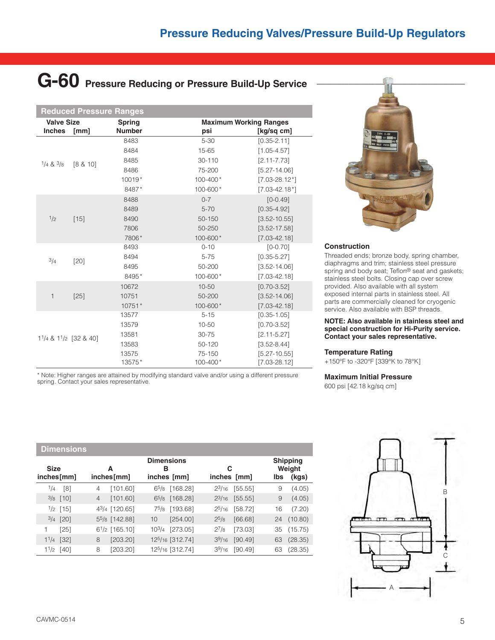# G-60 Pressure Reducing or Pressure Build-Up Service

|                                    | <b>Reduced Pressure Ranges</b> |                                |                                      |                    |  |  |  |
|------------------------------------|--------------------------------|--------------------------------|--------------------------------------|--------------------|--|--|--|
| <b>Valve Size</b><br><b>Inches</b> | [mm]                           | <b>Spring</b><br><b>Number</b> | <b>Maximum Working Ranges</b><br>psi | [kg/sq cm]         |  |  |  |
|                                    |                                | 8483                           | $5 - 30$                             | $[0.35 - 2.11]$    |  |  |  |
|                                    |                                | 8484                           | 15-65                                | $[1.05 - 4.57]$    |  |  |  |
| $1/4$ & $3/8$                      | [8 & 10]                       | 8485                           | 30-110                               | $[2.11 - 7.73]$    |  |  |  |
|                                    |                                | 8486                           | 75-200                               | $[5.27 - 14.06]$   |  |  |  |
|                                    |                                | 10019*                         | 100-400*                             | $[7.03 - 28.12^*]$ |  |  |  |
|                                    |                                | 8487*                          | 100-600*                             | $[7.03 - 42.18*]$  |  |  |  |
|                                    |                                | 8488                           | $0 - 7$                              | $[0 - 0.49]$       |  |  |  |
|                                    |                                | 8489                           | $5 - 70$                             | $[0.35 - 4.92]$    |  |  |  |
| 1/2                                | $[15]$                         | 8490                           | 50-150                               | $[3.52 - 10.55]$   |  |  |  |
|                                    |                                | 7806                           | 50-250                               | $[3.52 - 17.58]$   |  |  |  |
|                                    |                                | 7806*                          | 100-600*                             | $[7.03 - 42.18]$   |  |  |  |
|                                    | $[20]$                         | 8493                           | $0 - 10$                             | $[0 - 0.70]$       |  |  |  |
| 3/4                                |                                | 8494                           | $5 - 75$                             | $[0.35 - 5.27]$    |  |  |  |
|                                    |                                | 8495                           | 50-200                               | $[3.52 - 14.06]$   |  |  |  |
|                                    |                                | 8495*                          | 100-600*                             | $[7.03 - 42.18]$   |  |  |  |
|                                    |                                | 10672                          | $10 - 50$                            | $[0.70 - 3.52]$    |  |  |  |
| $\mathbf{1}$                       | $[25]$                         | 10751                          | 50-200                               | $[3.52 - 14.06]$   |  |  |  |
|                                    |                                | 10751*                         | 100-600*                             | $[7.03 - 42.18]$   |  |  |  |
|                                    |                                | 13577                          | $5 - 15$                             | $[0.35 - 1.05]$    |  |  |  |
|                                    |                                | 13579                          | 10-50                                | $[0.70 - 3.52]$    |  |  |  |
| $1^{1}/4$ & $1^{1}/2$ [32 & 40]    |                                | 13581                          | 30-75                                | $[2.11 - 5.27]$    |  |  |  |
|                                    |                                | 13583                          | 50-120                               | $[3.52 - 8.44]$    |  |  |  |
|                                    |                                | 13575                          | 75-150                               | $[5.27 - 10.55]$   |  |  |  |
|                                    |                                | 13575*                         | 100-400*                             | $[7.03 - 28.12]$   |  |  |  |

\* Note: Higher ranges are attained by modifying standard valve and/or using a different pressure spring. Contact your sales representative.



# **Construction**

Threaded ends; bronze body, spring chamber, diaphragms and trim; stainless steel pressure spring and body seat; Teflon® seat and gaskets; stainless steel bolts. Closing cap over screw provided. Also available with all system exposed internal parts in stainless steel. All parts are commercially cleaned for cryogenic service. Also available with BSP threads.

#### **NOTE: Also available in stainless steel and special construction for Hi-Purity service. Contact your sales representative.**

## **Temperature Rating**

+150°F to -320°F [339°K to 78°K]

# **Maximum Initial Pressure**

600 psi [42.18 kg/sq cm]

# **Dimensions Dimensions Shipping Size AB C Weight inches[mm] inches[mm] inches [mm] inches [mm] lbs (kgs)** 1/4 [8] 4 [101.60] 65/8 [168.28] 23/16 [55.55] 9 (4.05)  $\frac{3}{8}$  [10] 4 [101.60] 6<sup>5</sup>/8 [168.28] 2<sup>3</sup>/16 [55.55] 9 (4.05) 1/2 [15] 43/4 [120.65] 75/8 [193.68] 25/16 [58.72] 16 (7.20)  $\frac{3}{4}$  [20] 5<sup>5</sup>/8 [142.88] 10 [254.00] 2<sup>5</sup>/8 [66.68] 24 (10.80) 1 [25] 61/2 [165.10] 103/4 [273.05] 27/8 [73.03] 35 (15.75)

11/4 [32] 8 [203.20] 125/16 [312.74] 39/16 [90.49] 63 (28.35) 11/2 [40] 8 [203.20] 125/16 [312.74] 39/16 [90.49] 63 (28.35)

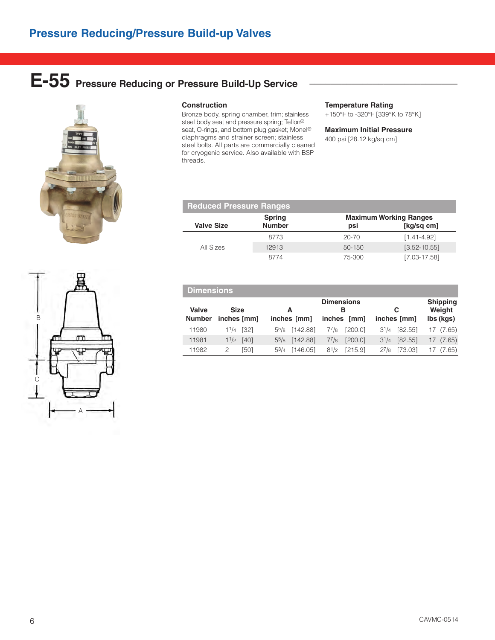# E-55 Pressure Reducing or Pressure Build-Up Service



# **Construction**

Bronze body, spring chamber, trim; stainless steel body seat and pressure spring; Teflon® seat, O-rings, and bottom plug gasket; Monel® diaphragms and strainer screen; stainless steel bolts. All parts are commercially cleaned for cryogenic service. Also available with BSP threads.

## **Temperature Rating**

+150°F to -320°F [339°K to 78°K]

# **Maximum Initial Pressure**

400 psi [28.12 kg/sq cm]

| <b>Reduced Pressure Ranges</b> |                                                                                      |           |                  |  |  |
|--------------------------------|--------------------------------------------------------------------------------------|-----------|------------------|--|--|
| <b>Valve Size</b>              | <b>Maximum Working Ranges</b><br><b>Spring</b><br><b>Number</b><br>[kq/sq cm]<br>psi |           |                  |  |  |
|                                | 8773                                                                                 | $20 - 70$ | $[1.41 - 4.92]$  |  |  |
| All Sizes                      | 12913                                                                                | 50-150    | $[3.52 - 10.55]$ |  |  |
|                                | 8774                                                                                 | 75-300    | $[7.03 - 17.58]$ |  |  |

|                        | <b>Dimensions</b>          |                       |                                          |                      |                                        |  |  |  |  |
|------------------------|----------------------------|-----------------------|------------------------------------------|----------------------|----------------------------------------|--|--|--|--|
| Valve<br><b>Number</b> | <b>Size</b><br>inches [mm] | А<br>inches [mm]      | <b>Dimensions</b><br>в<br>inches<br>[mm] | С<br>inches [mm]     | <b>Shipping</b><br>Weight<br>lbs (kgs) |  |  |  |  |
| 11980                  | $[32]$<br>11/4             | 55/8 [142.88]         | $7^{7}/8$<br>[200.0]                     | [82.55]<br>$3^{1/4}$ | (7.65)<br>17                           |  |  |  |  |
| 11981                  | 11/2<br>[40]               | [142.88]<br>$5^{5}/8$ | $7^{7}/8$<br>[200.0]                     | [82.55]<br>$3^{1/4}$ | (7.65)<br>17                           |  |  |  |  |
| 11982                  | [50]<br>2                  | [146.05]<br>53/4      | [215.9]<br>$8^{1/2}$                     | $2^{7}/8$<br>[73.03] | (7.65)                                 |  |  |  |  |

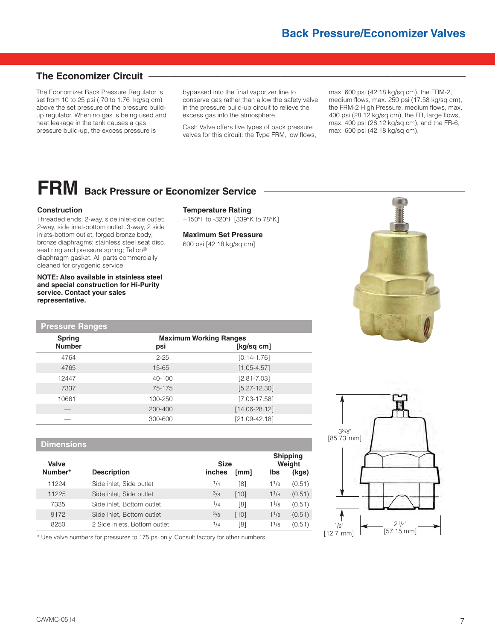# **The Economizer Circuit –**

The Economizer Back Pressure Regulator is set from 10 to 25 psi (.70 to 1.76 kg/sq cm) above the set pressure of the pressure buildup regulator. When no gas is being used and heat leakage in the tank causes a gas pressure build-up, the excess pressure is

bypassed into the final vaporizer line to conserve gas rather than allow the safety valve in the pressure build-up circuit to relieve the excess gas into the atmosphere.

Cash Valve offers five types of back pressure valves for this circuit: the Type FRM, low flows,

**Temperature Rating**

**Maximum Set Pressure** 600 psi [42.18 kg/sq cm]

+150°F to -320°F [339°K to 78°K]

max. 600 psi (42.18 kg/sq cm), the FRM-2, medium flows, max. 250 psi (17.58 kg/sq cm), the FRM-2 High Pressure, medium flows, max. 400 psi (28.12 kg/sq cm), the FR, large flows, max. 400 psi (28.12 kg/sq cm), and the FR-6, max. 600 psi (42.18 kg/sq cm).

# **FRM** Back Pressure or Economizer Service

## **Construction**

Threaded ends; 2-way, side inlet-side outlet; 2-way, side inlet-bottom outlet; 3-way, 2 side inlets-bottom outlet; forged bronze body; bronze diaphragms; stainless steel seat disc, seat ring and pressure spring; Teflon® diaphragm gasket. All parts commercially cleaned for cryogenic service.

**NOTE: Also available in stainless steel and special construction for Hi-Purity service. Contact your sales representative.**

**Pressure Ranges**

| <b>Spring</b> | <b>Maximum Working Ranges</b> |                   |
|---------------|-------------------------------|-------------------|
| <b>Number</b> | psi                           | [kg/sq cm]        |
| 4764          | $2 - 25$                      | $[0.14 - 1.76]$   |
| 4765          | $15 - 65$                     | $[1.05 - 4.57]$   |
| 12447         | 40-100                        | $[2.81 - 7.03]$   |
| 7337          | 75-175                        | $[5.27 - 12.30]$  |
| 10661         | 100-250                       | $[7.03 - 17.58]$  |
|               | 200-400                       | $[14.06 - 28.12]$ |
|               | 300-600                       | $[21.09 - 42.18]$ |

# **Dimensions**

| Valve   |                              | <b>Size</b> |      | <b>Shipping</b>   | Weight |
|---------|------------------------------|-------------|------|-------------------|--------|
| Number* | <b>Description</b>           | inches      | [mm] | lbs               | (kgs)  |
| 11224   | Side inlet, Side outlet      | 1/4         | [8]  | 11/8              | (0.51) |
| 11225   | Side inlet, Side outlet      | 3/8         | [10] | 11/8              | (0.51) |
| 7335    | Side inlet, Bottom outlet    | 1/4         | [8]  | 11/8              | (0.51) |
| 9172    | Side inlet, Bottom outlet    | 3/8         | [10] | $1^{1/8}$         | (0.51) |
| 8250    | 2 Side inlets, Bottom outlet | 1/4         | [8]  | 1 <sup>1</sup> /8 | (0.51) |

\* Use valve numbers for pressures to 175 psi only. Consult factory for other numbers.



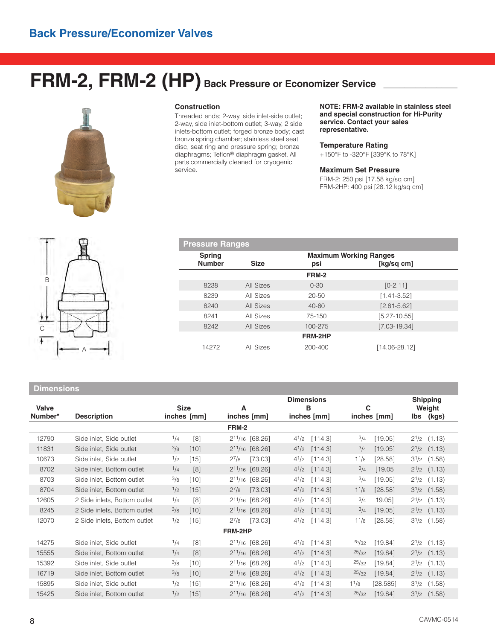# FRM-2, FRM-2 (HP) Back Pressure or Economizer Service



## **Construction**

Threaded ends; 2-way, side inlet-side outlet; 2-way, side inlet-bottom outlet; 3-way, 2 side inlets-bottom outlet; forged bronze body; cast bronze spring chamber; stainless steel seat disc, seat ring and pressure spring; bronze diaphragms; Teflon® diaphragm gasket. All parts commercially cleaned for cryogenic service.

**Pressure Ranges**

**NOTE: FRM-2 available in stainless steel and special construction for Hi-Purity service. Contact your sales representative.**

## **Temperature Rating**

+150°F to -320°F [339°K to 78°K]

#### **Maximum Set Pressure**

FRM-2: 250 psi [17.58 kg/sq cm] FRM-2HP: 400 psi [28.12 kg/sq cm]



# **Spring Maximum Working Ranges**<br> **Number** Size **Size psi** Sikg/s **Number Size psi [kg/sq cm] FRM-2** 8238 All Sizes 0-30 [0-2.11] 8239 All Sizes 20-50 [1.41-3.52] 8240 All Sizes 40-80 [2.81-5.62] 8241 All Sizes 75-150 [5.27-10.55] 8242 All Sizes 100-275 [7.03-19.34] **FRM-2HP** 14272 All Sizes 200-400 [14.06-28.12]

# **Dimensions**

| Valve<br>Number* | <b>Description</b>           | <b>Size</b><br>inches [mm] | A<br>inches [mm]       | <b>Dimensions</b><br>в<br>inches [mm] | С        | inches [mm] | lbs       | <b>Shipping</b><br>Weight<br>(kgs) |
|------------------|------------------------------|----------------------------|------------------------|---------------------------------------|----------|-------------|-----------|------------------------------------|
|                  |                              |                            | FRM-2                  |                                       |          |             |           |                                    |
| 12790            | Side inlet. Side outlet      | 1/4<br>[8]                 | $2^{11}/16$ [68.26]    | $4^{1/2}$<br>[114.3]                  | 3/4      | [19.05]     |           | $2^{1/2}$ (1.13)                   |
| 11831            | Side inlet, Side outlet      | $^{3}/_{8}$<br>$[10]$      | $2^{11}/_{16}$ [68.26] | $4^{1}/2$<br>[114.3]                  | $^{3/4}$ | [19.05]     |           | $2^{1/2}$ (1.13)                   |
| 10673            | Side inlet, Side outlet      | 1/2<br>$[15]$              | [73.03]<br>$2^{7}/8$   | $4^{1/2}$<br>[114.3]                  | 11/8     | [28.58]     | $3^{1/2}$ | (1.58)                             |
| 8702             | Side inlet, Bottom outlet    | 1/4<br>[8]                 | $2^{11}/16$ [68.26]    | $4^{1/2}$<br>[114.3]                  | 3/4      | [19.05]     |           | $2^{1/2}$ (1.13)                   |
| 8703             | Side inlet, Bottom outlet    | $^{3}/_{8}$<br>$[10]$      | $2^{11}/_{16}$ [68.26] | $4^{1/2}$<br>[114.3]                  | $^{3/4}$ | [19.05]     | $2^{1/2}$ | (1.13)                             |
| 8704             | Side inlet, Bottom outlet    | [15]<br>1/2                | $2^{7}/8$<br>[73.03]   | $4^{1/2}$<br>[114.3]                  | 11/8     | [28.58]     |           | $3^{1/2}$ (1.58)                   |
| 12605            | 2 Side inlets, Bottom outlet | 1/4<br>[8]                 | $2^{11}/_{16}$ [68.26] | [114.3]<br>$4^{1/2}$                  | 3/4      | 19.05]      | $2^{1/2}$ | (1.13)                             |
| 8245             | 2 Side inlets, Bottom outlet | 3/8<br>$[10]$              | $2^{11}/16$ [68.26]    | $4^{1/2}$<br>[114.3]                  | 3/4      | [19.05]     |           | $2^{1/2}$ (1.13)                   |
| 12070            | 2 Side inlets, Bottom outlet | 1/2<br>[15]                | $2^{7}/8$<br>[73.03]   | $4^{1/2}$<br>[114.3]                  | 11/8     | [28.58]     | $3^{1/2}$ | (1.58)                             |
|                  |                              |                            | FRM-2HP                |                                       |          |             |           |                                    |
| 14275            | Side inlet, Side outlet      | 1/4<br>[8]                 | $2^{11}/16$ [68.26]    | $4^{1/2}$<br>[114.3]                  | 25/32    | [19.84]     |           | $2^{1/2}$ (1.13)                   |
| 15555            | Side inlet, Bottom outlet    | [8]<br>1/4                 | $2^{11}/16$ [68.26]    | $4^{1/2}$<br>[114.3]                  | 25/32    | [19.84]     |           | $2^{1/2}$ (1.13)                   |
| 15392            | Side inlet, Side outlet      | 3/8<br>$[10]$              | $2^{11/16}$ [68.26]    | $4^{1/2}$<br>[114.3]                  | 25/32    | [19.84]     | $2^{1/2}$ | (1.13)                             |
| 16719            | Side inlet, Bottom outlet    | 3/8<br>[10]                | $2^{11}/16$ [68.26]    | $4^{1/2}$<br>[114.3]                  | 25/32    | [19.84]     |           | $2^{1/2}$ (1.13)                   |
| 15895            | Side inlet, Side outlet      | $[15]$<br>$\frac{1}{2}$    | $2^{11}/16$ [68.26]    | $4^{1/2}$<br>[114.3]                  | 11/8     | [28.585]    | $3^{1/2}$ | (1.58)                             |
| 15425            | Side inlet, Bottom outlet    | [15]<br>$\frac{1}{2}$      | $2^{11}/16$ [68.26]    | [114.3]<br>$4^{1/2}$                  | 25/32    | [19.84]     | $3^{1/2}$ | (1.58)                             |
|                  |                              |                            |                        |                                       |          |             |           |                                    |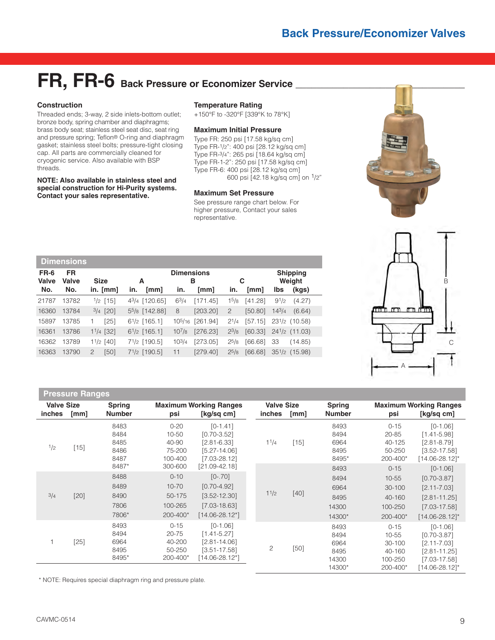# FR, FR-6 Back Pressure or Economizer Service \_

# **Construction**

Threaded ends; 3-way, 2 side inlets-bottom outlet; bronze body, spring chamber and diaphragms; brass body seat; stainless steel seat disc, seat ring and pressure spring; Teflon® O-ring and diaphragm gasket; stainless steel bolts; pressure-tight closing cap. All parts are commercially cleaned for cryogenic service. Also available with BSP threads.

**NOTE: Also available in stainless steel and special construction for Hi-Purity systems. Contact your sales representative.**

## **Temperature Rating**

+150°F to -320°F [339°K to 78°K]

# **Maximum Initial Pressure**

Type FR: 250 psi [17.58 kg/sq cm] Type FR-1/2": 400 psi [28.12 kg/sq cm] Type FR-3/4": 265 psi [18.64 kg/sq cm] Type FR-1-2": 250 psi [17.58 kg/sq cm] Type FR-6: 400 psi [28.12 kg/sq cm] 600 psi [42.18 kg/sq cm] on 1/2"

## **Maximum Set Pressure**

See pressure range chart below. For higher pressure, Contact your sales representative.





|              | <b>Dimensions</b> |                    |                                       |                   |          |                   |         |            |                    |
|--------------|-------------------|--------------------|---------------------------------------|-------------------|----------|-------------------|---------|------------|--------------------|
| FR-6         | <b>FR</b>         |                    |                                       | <b>Dimensions</b> |          |                   |         |            | <b>Shipping</b>    |
| <b>Valve</b> | Valve             | <b>Size</b>        | А                                     |                   | в        |                   | С       |            | Weight             |
| No.          | No.               | in. [mm]           | [mm]<br>in.                           | in.               | [mm]     | in.               | [mm]    | <b>lbs</b> | (kgs)              |
| 21787        | 13782             | $\frac{1}{2}$ [15] | 4 <sup>3</sup> /4 [120.65]            | $6^{3}/4$         | [171.45] | 1 <sup>5</sup> /8 | [41.28] | $9^{1/2}$  | (4.27)             |
| 16360        | 13784             | $3/4$ [20]         | 55/8 [142.88]                         | 8                 | [203.20] | 2                 | [50.80] | $14^{3}/4$ | (6.64)             |
| 15897        | 13785             | $[25]$             | $6^{1}/2$ [165.1]                     | $10^{5/16}$       | [261.94] | $2^{1/4}$         | [57.15] |            | $23^{1/2}$ (10.58) |
| 16361        | 13786             | $11/4$ [32]        | $6^{1}/2$ [165.1]                     | $10^{7}/8$        | [276.23] | $2^{3}/8$         | [60.33] |            | $24^{1/2}$ (11.03) |
| 16362        | 13789             | $11/2$ [40]        | 7 <sup>1</sup> / <sub>2</sub> [190.5] | $10^{3/4}$        | [273.05] | $2^{5/8}$         | [66.68] | 33         | (14.85)            |
| 16363        | 13790             | [50]<br>2          | $7^{1}/2$ [190.5]                     | 11                | [279.40] | $2^{5}/8$         | [66.68] |            | $35^{1}/2$ (15.98) |

# **Pressure Ranges**

| <b>Valve Size</b><br>inches<br>[mm] |        | <b>Maximum Working Ranges</b><br><b>Spring</b><br><b>Number</b><br>[kq/sq cm]<br>psi |                                                                | <b>Valve Size</b><br><i>inches</i>                                                                        | [mm] | <b>Spring</b><br><b>Number</b> | psi                                             | <b>Maximum Working Ranges</b><br>[kg/sq cm]                       |                                                                                                             |
|-------------------------------------|--------|--------------------------------------------------------------------------------------|----------------------------------------------------------------|-----------------------------------------------------------------------------------------------------------|------|--------------------------------|-------------------------------------------------|-------------------------------------------------------------------|-------------------------------------------------------------------------------------------------------------|
| 1/2                                 | $[15]$ | 8483<br>8484<br>8485<br>8486<br>8487<br>8487*                                        | $0 - 20$<br>$10 - 50$<br>40-90<br>75-200<br>100-400<br>300-600 | $[0-1.41]$<br>$[0.70 - 3.52]$<br>$[2.81 - 6.33]$<br>$[5.27 - 14.06]$<br>$[7.03 - 28.12]$<br>[21.09-42.18] | 11/4 | $[15]$                         | 8493<br>8494<br>6964<br>8495<br>8495*<br>8493   | $0 - 15$<br>$20 - 85$<br>40-125<br>50-250<br>200-400*<br>$0 - 15$ | $[0-1.06]$<br>$[1.41 - 5.98]$<br>$[2.81 - 8.79]$<br>$[3.52 - 17.58]$<br>$[14.06 - 28.12]$ *<br>$[0 - 1.06]$ |
| 3/4                                 | $[20]$ | 8488<br>8489<br>8490<br>7806<br>7806*                                                | $0 - 10$<br>$10 - 70$<br>50-175<br>100-265<br>200-400*         | $[0-.70]$<br>$[0.70 - 4.92]$<br>$[3.52 - 12.30]$<br>$[7.03 - 18.63]$<br>$[14.06 - 28.12^*]$               | 11/2 | $[40]$                         | 8494<br>6964<br>8495<br>14300<br>14300*         | $10 - 55$<br>$30 - 100$<br>40-160<br>100-250<br>200-400*          | $[0.70 - 3.87]$<br>$[2.11 - 7.03]$<br>$[2.81 - 11.25]$<br>$[7.03 - 17.58]$<br>$[14.06 - 28.12]$ *           |
|                                     | $[25]$ | 8493<br>8494<br>6964<br>8495<br>8495*                                                | $0 - 15$<br>$20 - 75$<br>40-200<br>50-250<br>200-400*          | $[0-1.06]$<br>$[1.41 - 5.27]$<br>$[2.81 - 14.06]$<br>$[3.51 - 17.58]$<br>$14.06 - 28.12$ <sup>*</sup>     | 2    | [50]                           | 8493<br>8494<br>6964<br>8495<br>14300<br>14300* | $0 - 15$<br>$10 - 55$<br>30-100<br>40-160<br>100-250<br>200-400*  | $[0-1.06]$<br>$[0.70 - 3.87]$<br>$[2.11 - 7.03]$<br>$[2.81 - 11.25]$<br>$[7.03 - 17.58]$<br>[14.06-28.12]*  |

\* NOTE: Requires special diaphragm ring and pressure plate.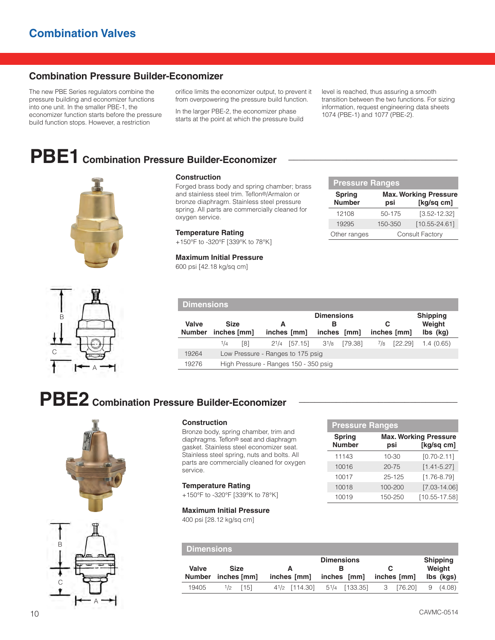# **Combination Pressure Builder-Economizer**

The new PBE Series regulators combine the pressure building and economizer functions into one unit. In the smaller PBE-1, the economizer function starts before the pressure build function stops. However, a restriction

orifice limits the economizer output, to prevent it from overpowering the pressure build function.

In the larger PBE-2, the economizer phase starts at the point at which the pressure build level is reached, thus assuring a smooth transition between the two functions. For sizing information, request engineering data sheets 1074 (PBE-1) and 1077 (PBE-2).

# **PBE1 Combination Pressure Builder-Economizer \_\_\_\_\_\_\_\_\_\_\_\_\_\_\_\_\_\_\_\_\_\_\_\_\_\_\_\_\_\_\_\_**





Forged brass body and spring chamber; brass and stainless steel trim. Teflon®/Armalon or bronze diaphragm. Stainless steel pressure spring. All parts are commercially cleaned for oxygen service.

## **Temperature Rating**

+150°F to -320°F [339°K to 78°K]

## **Maximum Initial Pressure**

600 psi [42.18 kg/sq cm]

| <b>Pressure Ranges</b> |         |                              |  |  |  |  |  |  |  |  |  |
|------------------------|---------|------------------------------|--|--|--|--|--|--|--|--|--|
| <b>Spring</b>          |         | <b>Max. Working Pressure</b> |  |  |  |  |  |  |  |  |  |
| <b>Number</b>          | psi     | [kg/sq cm]                   |  |  |  |  |  |  |  |  |  |
| 12108                  | 50-175  | $[3.52 - 12.32]$             |  |  |  |  |  |  |  |  |  |
| 19295                  | 150-350 | $[10.55 - 24.61]$            |  |  |  |  |  |  |  |  |  |
| Other ranges           |         | <b>Consult Factory</b>       |  |  |  |  |  |  |  |  |  |



|                        | Dimensions <sup>1</sup>    |                                       |                  |                   |                                                 |         |                  |         |                                                          |  |  |  |
|------------------------|----------------------------|---------------------------------------|------------------|-------------------|-------------------------------------------------|---------|------------------|---------|----------------------------------------------------------|--|--|--|
| Valve<br><b>Number</b> | <b>Size</b><br>inches [mm] |                                       | А<br>inches [mm] |                   | <b>Dimensions</b><br>в<br><i>inches</i><br>[mm] |         | С<br>inches [mm] |         | <b>Shipping</b><br>Weight<br>$\mathsf{lbs}(\mathsf{kg})$ |  |  |  |
|                        | 1/4                        | [8]                                   |                  | $2^{1}/4$ [57.15] | $3^{1/8}$                                       | [79.38] | $^{1/8}$         | [22.29] | 1.4(0.65)                                                |  |  |  |
| 19264                  |                            | Low Pressure - Ranges to 175 psig     |                  |                   |                                                 |         |                  |         |                                                          |  |  |  |
| 19276                  |                            | High Pressure - Ranges 150 - 350 psig |                  |                   |                                                 |         |                  |         |                                                          |  |  |  |

# **PBE2 Combination Pressure Builder-Economizer \_\_\_\_\_\_\_\_\_\_\_\_\_\_\_\_\_\_\_\_\_\_\_\_\_\_\_\_\_\_**



# **Construction**

Bronze body, spring chamber, trim and diaphragms. Teflon® seat and diaphragm gasket. Stainless steel economizer seat. Stainless steel spring, nuts and bolts. All parts are commercially cleaned for oxygen service.

# **Temperature Rating**

+150°F to -320°F [339°K to 78°K]

#### **Maximum Initial Pressure**

400 psi [28.12 kg/sq cm]

| <b>Pressure Ranges</b>         |           |                                            |  |  |  |  |  |  |  |  |  |
|--------------------------------|-----------|--------------------------------------------|--|--|--|--|--|--|--|--|--|
| <b>Spring</b><br><b>Number</b> | psi       | <b>Max. Working Pressure</b><br>[kg/sq cm] |  |  |  |  |  |  |  |  |  |
| 11143                          | $10 - 30$ | $[0.70 - 2.11]$                            |  |  |  |  |  |  |  |  |  |
| 10016                          | $20 - 75$ | $[1.41 - 5.27]$                            |  |  |  |  |  |  |  |  |  |
| 10017                          | 25-125    | $[1.76 - 8.79]$                            |  |  |  |  |  |  |  |  |  |
| 10018                          | 100-200   | $[7.03 - 14.06]$                           |  |  |  |  |  |  |  |  |  |
| 10019                          | 150-250   | $[10.55 - 17.58]$                          |  |  |  |  |  |  |  |  |  |

| <b>Dimensions</b> |             |             |                                                       |             |                           |
|-------------------|-------------|-------------|-------------------------------------------------------|-------------|---------------------------|
| Valve             | <b>Size</b> | A           | <b>Dimensions</b>                                     |             | <b>Shipping</b><br>Weight |
| <b>Number</b>     | inches [mm] | inches [mm] | inches [mm]                                           | inches [mm] | lbs (kgs)                 |
| 19405             | [15]<br>1/2 |             | 4 <sup>1</sup> /2 [114.30] 5 <sup>1</sup> /4 [133.35] | 3 [76.20]   | (4.08)<br>9               |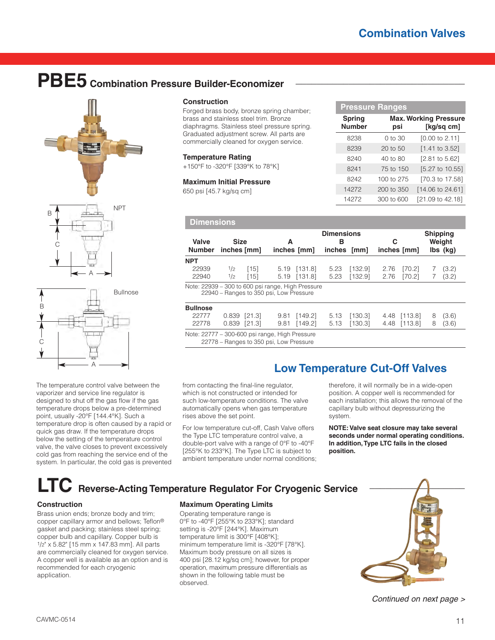# **PBE5 Combination Pressure Builder-Economizer \_\_\_\_\_\_\_\_\_\_\_\_\_\_\_\_\_\_\_\_\_\_\_\_\_\_\_\_\_\_\_\_**



# A

The temperature control valve between the vaporizer and service line regulator is designed to shut off the gas flow if the gas temperature drops below a pre-determined point, usually -20°F [144.4°K]. Such a temperature drop is often caused by a rapid or quick gas draw. If the temperature drops below the setting of the temperature control valve, the valve closes to prevent excessively cold gas from reaching the service end of the system. In particular, the cold gas is prevented

## **Construction**

Forged brass body, bronze spring chamber; brass and stainless steel trim. Bronze diaphragms. Stainless steel pressure spring. Graduated adjustment screw. All parts are commercially cleaned for oxygen service.

#### **Temperature Rating**

+150°F to -320°F [339°K to 78°K]

#### **Maximum Initial Pressure**

650 psi [45.7 kg/sq cm]

|                                | <b>Pressure Ranges</b> |                                            |
|--------------------------------|------------------------|--------------------------------------------|
| <b>Spring</b><br><b>Number</b> | psi                    | <b>Max. Working Pressure</b><br>[kg/sq cm] |
| 8238                           | 0 to 30                | [0.00 to 2.11]                             |
| 8239                           | 20 to 50               | $[1.41$ to 3.52]                           |
| 8240                           | 40 to 80               | [2.81 to 5.62]                             |
| 8241                           | 75 to 150              | [5.27 to 10.55]                            |
| 8242                           | 100 to 275             | [70.3 to 17.58]                            |
| 14272                          | 200 to 350             | [14.06 to 24.61]                           |
| 14272                          | 300 to 600             | [21.09 to 42.18]                           |

| <b>Dimensions</b>                                    |            |                |                                         |                         |                                       |                    |                  |                    |                                                          |                |
|------------------------------------------------------|------------|----------------|-----------------------------------------|-------------------------|---------------------------------------|--------------------|------------------|--------------------|----------------------------------------------------------|----------------|
| Valve<br><b>Size</b><br><b>Number</b><br>inches [mm] |            |                | А                                       | inches [mm]             | <b>Dimensions</b><br>в<br>inches [mm] |                    | С<br>inches [mm] |                    | <b>Shipping</b><br>Weight<br>$\mathsf{lbs}(\mathsf{kg})$ |                |
| <b>NPT</b><br>22939<br>22940                         | 1/2<br>1/2 | $[15]$<br>[15] | 5.19                                    | [131.8]<br>5.19 [131.8] | 5.23<br>5.23                          | [132.9]<br>[132.9] | 2.76<br>2.76     | [70.2]<br>$[70.2]$ |                                                          | (3.2)<br>(3.2) |
| Note: 22939 - 300 to 600 psi range, High Pressure    |            |                | 22940 - Ranges to 350 psi, Low Pressure |                         |                                       |                    |                  |                    |                                                          |                |
| <b>Bullnose</b><br>22777                             | U 830      | [21.3]         | Q 81                                    | [1 1 1 2 1              | 513                                   | 1130 31            |                  | 1 1 2 1 1 2 2 1    | R                                                        | (36)           |

| 22777   0.839   [21.3]                         | 9.81 [149.2] 5.13 [130.3]                                                   |  | 4.48 [113.8] 8 (3.6) |  |
|------------------------------------------------|-----------------------------------------------------------------------------|--|----------------------|--|
|                                                | 22778  0.839  [21.3]  9.81  [149.2]  5.13  [130.3]  4.48  [113.8]  8  (3.6) |  |                      |  |
| Note: 22777 – 300-600 psi range. High Pressure |                                                                             |  |                      |  |

22778 – Ranges to 350 psi, Low Pressure

# **Low Temperature Cut-Off Valves**

from contacting the final-line regulator, which is not constructed or intended for such low-temperature conditions. The valve automatically opens when gas temperature rises above the set point.

For low temperature cut-off, Cash Valve offers the Type LTC temperature control valve, a double-port valve with a range of 0°F to -40°F [255°K to 233°K]. The Type LTC is subject to ambient temperature under normal conditions;

therefore, it will normally be in a wide-open position. A copper well is recommended for each installation; this allows the removal of the capillary bulb without depressurizing the system.

**NOTE: Valve seat closure may take several seconds under normal operating conditions. In addition, Type LTC fails in the closed position.**

# **LTC** Reverse-Acting Temperature Regulator For Cryogenic Service

## **Construction**

C

Brass union ends; bronze body and trim; copper capillary armor and bellows; Teflon® gasket and packing; stainless steel spring; copper bulb and capillary. Copper bulb is 1/2" x 5.82" [15 mm x 147.83 mm]. All parts are commercially cleaned for oxygen service. A copper well is available as an option and is recommended for each cryogenic application.

## **Maximum Operating Limits**

Operating temperature range is 0°F to -40°F [255°K to 233°K]; standard setting is -20°F [244°K]. Maximum temperature limit is 300°F [408°K]; minimum temperature limit is -320°F [78°K]. Maximum body pressure on all sizes is 400 psi [28.12 kg/sq cm]; however, for proper operation, maximum pressure differentials as shown in the following table must be observed.



*Continued on next page >*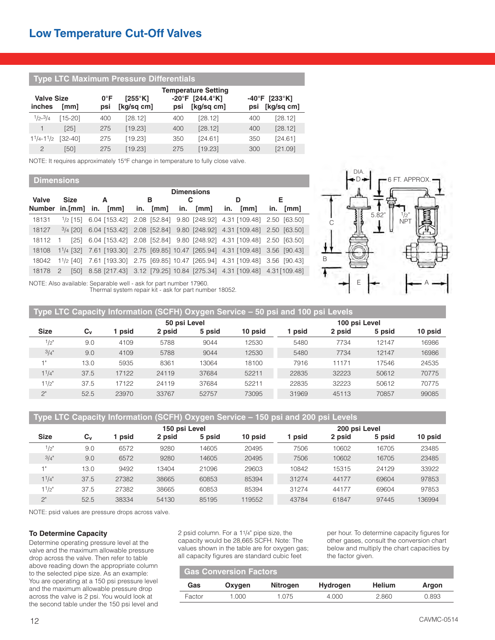# **Type LTC Maximum Pressure Differentials**

| <b>Valve Size</b> |             | $0^{\circ}$ F | $[255^{\circ}$ K] |     | <b>Temperature Setting</b><br>-20°F [244.4°K] |     | $-40^{\circ}$ F [233 $^{\circ}$ K] |
|-------------------|-------------|---------------|-------------------|-----|-----------------------------------------------|-----|------------------------------------|
| inches            | [mm]        | psi           | [kg/sq cm]        | psi | [kg/sq cm]                                    | psi | [kg/sq cm]                         |
| $1/2 - 3/4$       | $[15-20]$   | 400           | [28.12]           | 400 | [28.12]                                       | 400 | [28.12]                            |
|                   | $[25]$      | 275           | [19.23]           | 400 | [28.12]                                       | 400 | [28.12]                            |
| $11/4 - 11/2$     | $[32 - 40]$ | 275           | [19.23]           | 350 | [24.61]                                       | 350 | [24.61]                            |
| $\overline{c}$    | [50]        | 275           | [19.23]           | 275 | [19.23]                                       | 300 | [21.09]                            |

NOTE: It requires approximately 15°F change in temperature to fully close valve.

## **Dimensions**

|               |               | <b>Dimensions</b>                                                                      |   |            |     |      |             |             |  |  |  |
|---------------|---------------|----------------------------------------------------------------------------------------|---|------------|-----|------|-------------|-------------|--|--|--|
| Valve         | <b>Size</b>   | A                                                                                      | в |            |     |      | D           | Е           |  |  |  |
| <b>Number</b> | $in.[mm]$ in. | [mm]                                                                                   |   | in. $[mm]$ | in. | [mm] | [mm]<br>in. | [mm]<br>in. |  |  |  |
| 18131         |               | 1/2 [15] 6.04 [153.42] 2.08 [52.84] 9.80 [248.92] 4.31 [109.48] 2.50 [63.50]           |   |            |     |      |             |             |  |  |  |
| 18127         |               | $\frac{3}{4}$ [20] 6.04 [153.42] 2.08 [52.84] 9.80 [248.92] 4.31 [109.48] 2.50 [63.50] |   |            |     |      |             |             |  |  |  |
| 18112         |               | $[25]$ 6.04 $[153.42]$ 2.08 $[52.84]$ 9.80 $[248.92]$ 4.31 $[109.48]$ 2.50 $[63.50]$   |   |            |     |      |             |             |  |  |  |
| 18108         |               | 11/4 [32] 7.61 [193.30] 2.75 [69.85] 10.47 [265.94] 4.31 [109.48] 3.56 [90.43]         |   |            |     |      |             |             |  |  |  |
| 18042         |               | 11/2 [40] 7.61 [193.30] 2.75 [69.85] 10.47 [265.94] 4.31 [109.48] 3.56 [90.43]         |   |            |     |      |             |             |  |  |  |
| 18178         |               | [50] 8.58 [217.43] 3.12 [79.25] 10.84 [275.34] 4.31 [109.48] 4.31 [109.48]             |   |            |     |      |             |             |  |  |  |



NOTE: Also available: Separable well - ask for part number 17960. Thermal system repair kit - ask for part number 18052.

| Type LTC Capacity Information (SCFH) Oxygen Service - 50 psi and 100 psi Levels |                           |       |              |               |         |       |        |        |         |  |  |
|---------------------------------------------------------------------------------|---------------------------|-------|--------------|---------------|---------|-------|--------|--------|---------|--|--|
|                                                                                 |                           |       | 50 psi Level | 100 psi Level |         |       |        |        |         |  |  |
| <b>Size</b>                                                                     | $\mathbf{C}_{\mathbf{v}}$ | psid  | 2 psid       | 5 psid        | 10 psid | psid  | 2 psid | 5 psid | 10 psid |  |  |
| 1/2"                                                                            | 9.0                       | 4109  | 5788         | 9044          | 12530   | 5480  | 7734   | 12147  | 16986   |  |  |
| 3/4"                                                                            | 9.0                       | 4109  | 5788         | 9044          | 12530   | 5480  | 7734   | 12147  | 16986   |  |  |
| 1"                                                                              | 13.0                      | 5935  | 8361         | 13064         | 18100   | 7916  | 11171  | 17546  | 24535   |  |  |
| $1^{1}/4"$                                                                      | 37.5                      | 17122 | 24119        | 37684         | 52211   | 22835 | 32223  | 50612  | 70775   |  |  |
| 11/2"                                                                           | 37.5                      | 17122 | 24119        | 37684         | 52211   | 22835 | 32223  | 50612  | 70775   |  |  |
| $2^{\circ}$                                                                     | 52.5                      | 23970 | 33767        | 52757         | 73095   | 31969 | 45113  | 70857  | 99085   |  |  |

**Type LTC Capacity Information (SCFH) Oxygen Service – 150 psi and 200 psi Levels**

|             |       |       | 150 psi Level |        | 200 psi Level |       |        |        |         |
|-------------|-------|-------|---------------|--------|---------------|-------|--------|--------|---------|
| <b>Size</b> | $C_v$ | psid  | 2 psid        | 5 psid | 10 psid       | psid  | 2 psid | 5 psid | 10 psid |
| 1/2"        | 9.0   | 6572  | 9280          | 14605  | 20495         | 7506  | 10602  | 16705  | 23485   |
| 3/4"        | 9.0   | 6572  | 9280          | 14605  | 20495         | 7506  | 10602  | 16705  | 23485   |
|             | 13.0  | 9492  | 13404         | 21096  | 29603         | 10842 | 15315  | 24129  | 33922   |
| $1^{1}/4$ " | 37.5  | 27382 | 38665         | 60853  | 85394         | 31274 | 44177  | 69604  | 97853   |
| $1^{1/2}$   | 37.5  | 27382 | 38665         | 60853  | 85394         | 31274 | 44177  | 69604  | 97853   |
| 2"          | 52.5  | 38334 | 54130         | 85195  | 19552         | 43784 | 61847  | 97445  | 136994  |

NOTE: psid values are pressure drops across valve.

## **To Determine Capacity**

Determine operating pressure level at the valve and the maximum allowable pressure drop across the valve. Then refer to table above reading down the appropriate column to the selected pipe size. As an example: You are operating at a 150 psi pressure level and the maximum allowable pressure drop across the valve is 2 psi. You would look at the second table under the 150 psi level and

2 psid column. For a 11/4" pipe size, the capacity would be 28,665 SCFH. Note: The values shown in the table are for oxygen gas; all capacity figures are standard cubic feet

per hour. To determine capacity figures for other gases, consult the conversion chart below and multiply the chart capacities by the factor given.

| <b>Gas Conversion Factors</b> |        |          |                 |               |       |  |  |  |  |
|-------------------------------|--------|----------|-----------------|---------------|-------|--|--|--|--|
| Gas                           | Oxvaen | Nitrogen | <b>Hydrogen</b> | <b>Helium</b> | Argon |  |  |  |  |
| Factor                        | 1.000  | 1.075    | 4.000           | 2.860         | 0.893 |  |  |  |  |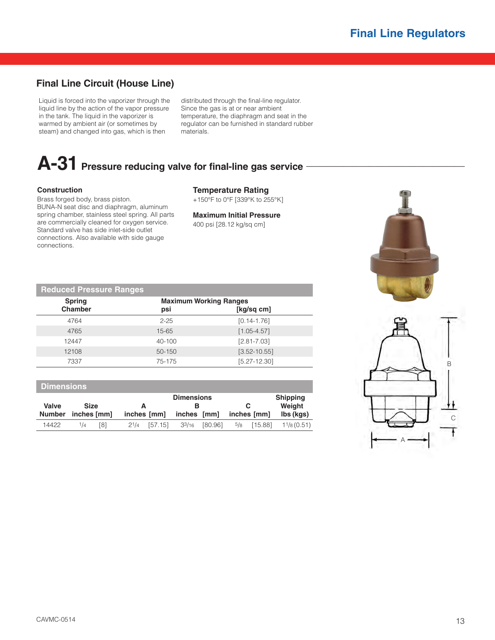# **Final Line Circuit (House Line)**

Liquid is forced into the vaporizer through the liquid line by the action of the vapor pressure in the tank. The liquid in the vaporizer is warmed by ambient air (or sometimes by steam) and changed into gas, which is then

distributed through the final-line regulator. Since the gas is at or near ambient temperature, the diaphragm and seat in the regulator can be furnished in standard rubber materials.

# A-31 Pressure reducing valve for final-line gas service -

# **Construction**

Brass forged body, brass piston. BUNA-N seat disc and diaphragm, aluminum spring chamber, stainless steel spring. All parts are commercially cleaned for oxygen service. Standard valve has side inlet-side outlet connections. Also available with side gauge connections.

**Temperature Rating**

+150°F to 0°F [339°K to 255°K]

**Maximum Initial Pressure** 400 psi [28.12 kg/sq cm]

| <b>Reduced Pressure Ranges</b> |                                      |                  |   |
|--------------------------------|--------------------------------------|------------------|---|
| <b>Spring</b><br>Chamber       | <b>Maximum Working Ranges</b><br>psi | [kg/sq cm]       |   |
| 4764                           | $2 - 25$                             | $[0.14 - 1.76]$  |   |
| 4765                           | $15 - 65$                            | $[1.05 - 4.57]$  |   |
| 12447                          | 40-100                               | $[2.81 - 7.03]$  |   |
| 12108                          | 50-150                               | $[3.52 - 10.55]$ |   |
| 7337                           | 75-175                               | $[5.27 - 12.30]$ | B |

| <b>Dimensions</b> |                            |     |             |                   |                    |         |          |             |                       |  |  |
|-------------------|----------------------------|-----|-------------|-------------------|--------------------|---------|----------|-------------|-----------------------|--|--|
|                   |                            |     |             | <b>Dimensions</b> |                    |         |          |             | <b>Shipping</b>       |  |  |
| Valve             | <b>Size</b><br>inches [mm] |     |             | А                 |                    | в       |          |             | Weight                |  |  |
| <b>Number</b>     |                            |     | inches [mm] |                   | inches [mm]        |         |          | inches [mm] | lbs (kgs)             |  |  |
| 14422             | 1/4                        | [8] |             | $2^{1}/4$ [57.15] | 3 <sup>3</sup> /16 | [80.96] | $^{5}/8$ | [15.88]     | $1\frac{1}{8}$ (0.51) |  |  |

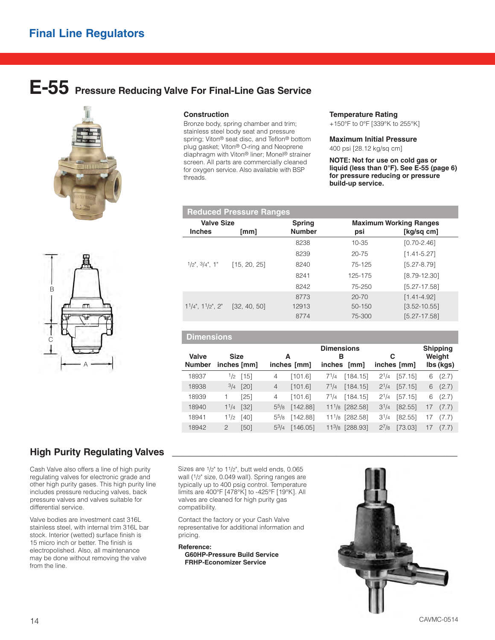# **E-55 Pressure Reducing Valve For Final-Line Gas Service**





## **Construction**

Bronze body, spring chamber and trim; stainless steel body seat and pressure spring; Viton® seat disc, and Teflon® bottom plug gasket; Viton® O-ring and Neoprene diaphragm with Viton® liner; Monel® strainer screen. All parts are commercially cleaned for oxygen service. Also available with BSP threads.

#### **Temperature Rating**

+150°F to 0°F [339°K to 255°K]

#### **Maximum Initial Pressure**

400 psi [28.12 kg/sq cm]

**NOTE: Not for use on cold gas or liquid (less than 0°F). See E-55 (page 6) for pressure reducing or pressure build-up service.**

|                   |                                              | <b>Reduced Pressure Ranges</b> |               |           |                               |  |
|-------------------|----------------------------------------------|--------------------------------|---------------|-----------|-------------------------------|--|
| <b>Valve Size</b> |                                              |                                | <b>Spring</b> |           | <b>Maximum Working Ranges</b> |  |
|                   | <b>Inches</b>                                | [mm]                           | <b>Number</b> | psi       | [kg/sq cm]                    |  |
|                   |                                              |                                | 8238          | 10-35     | $[0.70 - 2.46]$               |  |
|                   |                                              |                                | 8239          | $20 - 75$ | $[1.41 - 5.27]$               |  |
|                   | $1/2$ ", $3/4$ ", $1$ "                      | [15, 20, 25]                   | 8240          | 75-125    | $[5.27 - 8.79]$               |  |
|                   |                                              |                                | 8241          | 125-175   | $[8.79 - 12.30]$              |  |
|                   |                                              |                                | 8242          | 75-250    | $[5.27 - 17.58]$              |  |
|                   |                                              |                                | 8773          | $20 - 70$ | $[1.41 - 4.92]$               |  |
|                   | $1^{1}/4$ ", $1^{1}/2$ ", $2$ " [32, 40, 50] |                                | 12913         | 50-150    | $[3.52 - 10.55]$              |  |
|                   |                                              |                                | 8774          | 75-300    | $[5.27 - 17.58]$              |  |

# **Dimensions**

|               |               |                    |           |             | <b>Dimensions</b> |                             |           |             |    | <b>Shipping</b> |
|---------------|---------------|--------------------|-----------|-------------|-------------------|-----------------------------|-----------|-------------|----|-----------------|
| Valve         | <b>Size</b>   |                    |           | А           | в                 |                             | С         |             |    | Weight          |
| <b>Number</b> |               | inches [mm]        |           | inches [mm] | <i>inches</i>     | [mm]                        |           | inches [mm] |    | lbs (kgs)       |
| 18937         |               | $\frac{1}{2}$ [15] | 4         | [101.6]     | $7^{1/4}$         | [184.15]                    | $2^{1/4}$ | [57.15]     | 6  | (2.7)           |
| 18938         | 3/4           | [20]               | 4         | [101.6]     | $7^{1/4}$         | [184.15]                    | $2^{1/4}$ | [57.15]     | 6  | (2.7)           |
| 18939         |               | [25]               | 4         | [101.6]     | $7^{1/4}$         | [184.15]                    | $2^{1/4}$ | [57.15]     | 6  | (2.7)           |
| 18940         | $1^{1/4}$     | $[32]$             | $5^{5}/8$ | [142.88]    |                   | 11 <sup>1</sup> /8 [282.58] | $3^{1/4}$ | [82.55]     | 17 | (7.7)           |
| 18941         | 11/2          | [40]               | $5^{5}/8$ | [142.88]    |                   | 111/8 [282.58]              | $3^{1/4}$ | [82.55]     | 17 | (7.7)           |
| 18942         | $\mathcal{P}$ | [50]               | $5^{3}/4$ | [146.05]    |                   | 113/8 [288.93]              | $2^{7}/8$ | [73.03]     | 17 | (7.7)           |

# **High Purity Regulating Valves**

Cash Valve also offers a line of high purity regulating valves for electronic grade and other high purity gases. This high purity line includes pressure reducing valves, back pressure valves and valves suitable for differential service.

Valve bodies are investment cast 316L stainless steel, with internal trim 316L bar stock. Interior (wetted) surface finish is 15 micro inch or better. The finish is electropolished. Also, all maintenance may be done without removing the valve from the line.

Sizes are 1/2" to 11/2", butt weld ends, 0.065 wall (1/2" size, 0.049 wall). Spring ranges are typically up to 400 psig control. Temperature limits are 400°F [478°K] to -425°F [19°K]. All valves are cleaned for high purity gas compatibility.

Contact the factory or your Cash Valve representative for additional information and pricing.

## **Reference:**

**G60HP-Pressure Build Service FRHP-Economizer Service**

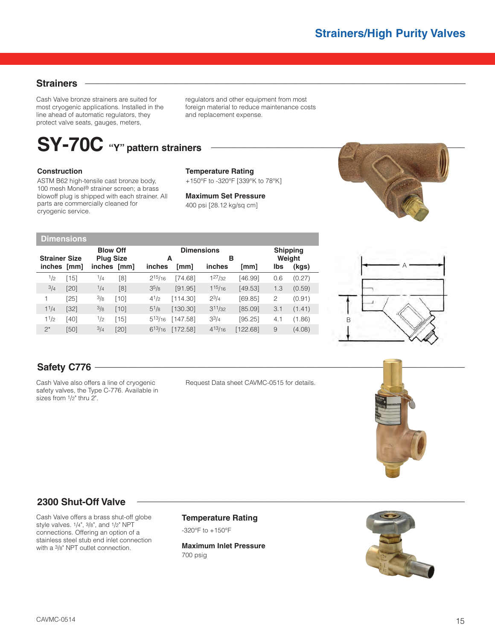# **Strainers \_\_\_\_\_\_\_\_\_\_\_\_\_\_\_\_\_\_\_\_\_\_\_\_\_\_\_\_\_\_\_\_\_\_\_\_\_\_\_\_\_\_\_\_\_\_\_\_\_\_\_\_\_\_\_\_\_\_\_\_\_\_\_\_\_\_\_\_\_\_\_\_**

Cash Valve bronze strainers are suited for most cryogenic applications. Installed in the line ahead of automatic regulators, they protect valve seats, gauges, meters,

regulators and other equipment from most foreign material to reduce maintenance costs and replacement expense.

# **SY-70C "Y" pattern strainers \_\_\_\_\_\_\_\_\_\_\_\_\_\_\_\_\_\_\_\_\_\_\_\_\_\_\_\_\_\_\_\_\_\_\_\_\_\_\_\_\_\_\_\_\_\_\_\_**

# **Construction**

ASTM B62 high-tensile cast bronze body, 100 mesh Monel® strainer screen; a brass blowoff plug is shipped with each strainer. All parts are commercially cleaned for cryogenic service.

# **Temperature Rating**

+150°F to -320°F [339°K to 78°K]

**Maximum Set Pressure** 400 psi [28.12 kg/sq cm]



| <b>Dimensions</b>                   |               |        |                                 |                 |                     |                        |                |          |              |                           |  |  |
|-------------------------------------|---------------|--------|---------------------------------|-----------------|---------------------|------------------------|----------------|----------|--------------|---------------------------|--|--|
|                                     |               |        |                                 | <b>Blow Off</b> |                     | <b>Dimensions</b><br>в |                |          |              | <b>Shipping</b><br>Weight |  |  |
| <b>Strainer Size</b><br>inches [mm] |               |        | <b>Plug Size</b><br>inches [mm] |                 | А<br>inches<br>[mm] |                        | inches<br>[mm] |          | Ibs<br>(kgs) |                           |  |  |
|                                     | $\frac{1}{2}$ | [15]   | 1/4                             | [8]             | $2^{15}/_{16}$      | [74.68]                | $1^{27}/32$    | [46.99]  | 0.6          | (0.27)                    |  |  |
|                                     | 3/4           | $[20]$ | 1/4                             | [8]             | 35/8                | [91.95]                | $1^{15/16}$    | [49.53]  | 1.3          | (0.59)                    |  |  |
|                                     | 1             | [25]   | 3/8                             | $[10]$          | $4^{1/2}$           | [114.30]               | $2^{3/4}$      | [69.85]  | 2            | (0.91)                    |  |  |
|                                     | 11/4          | [32]   | 3/8                             | [10]            | $5^{1/8}$           | [130.30]               | $3^{11}/32$    | [85.09]  | 3.1          | (1.41)                    |  |  |
|                                     | 11/2          | [40]   | 1/2                             | [15]            | $5^{13/16}$         | [147.58]               | $3^{3}/4$      | [95.25]  | 4.1          | (1.86)                    |  |  |
|                                     | $2^*$         | [50]   | 3/4                             | [20]            | $6^{13/16}$         | [172.58]               | $4^{13/16}$    | [122.68] | 9            | (4.08)                    |  |  |



Cash Valve also offers a line of cryogenic safety valves, the Type C-776. Available in sizes from 1/2" thru 2".

Request Data sheet CAVMC-0515 for details.



# **2300 Shut-Off Valve**

Cash Valve offers a brass shut-off globe style valves. 1/4", 3/8", and 1/2" NPT connections. Offering an option of a stainless steel stub end inlet connection with a 3/8" NPT outlet connection.

# **Temperature Rating**

-320°F to +150°F

**Maximum Inlet Pressure**  700 psig